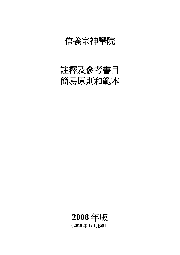# 信義宗神學院

# 註釋及參考書目 簡易原則和範本

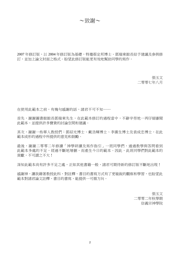~致謝~

2007年修訂版,以 2004年修訂版為基礎,特邀蔡定邦博士、鄧瑞東館長給予建議及參與修 訂,並加上論文封面之格式。盼望此修訂版能更有效地幫助同學的寫作。

> 張玉文 二零零七年八月

在使用此範本之前,有幾句感謝的話,諸君不可不知……

首先, 謝謝圖書館館長鄧瑞東先生, 在此範本修訂的過程當中, 不辭辛勞地一再仔細審閱 此範本,並提供許多寶貴的討論空間和建議。

其次, 謝謝一些華人教授們: 鄧紹光博士、載浩輝博士、李廣生博士及袁成忠博士, 在此 範本成形的過程中所提供的意見和鼓勵。

最後,謝謝二零零二年修讀「神學研讀及寫作指引」一班同學們,通過教學與答問看到 此範本多處的不足,經過不斷地增刪,而產生今日的範本。因此,此班同學們對此範本的 貢獻,不可謂之不大!

深知此範本尚有許多不足之處,正如其他書籍一般,諸君可期待新的修訂版不斷地出現!

感謝神,讓我藉著教授此科,對註釋、書目的書寫方式有了更敏銳的觀察和學習,也盼望此 範本對諸君論文註釋、書目的書寫,能提供一可循方向。

> 張玉文 二零零二年秋學期 信義宗神學院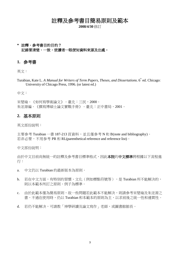註釋及參考書目簡易原則及範本

**2008/4/30** 修訂

## **\*** 註釋、參考書目的目的? 記錄要清楚、一致,使讀者一眼便知資料來源及出處。

#### **1.** 參考書

英文:

Turabian, Kate L. *A Manual for Writers of Term Papers, Theses, and Dissertations*. 6 th ed. Chicago: University of Chicago Press, 1996. (or latest ed.)

#### 中文:

宋楚瑜。《如何寫學術論文》。臺北:三民,2000。 朱浤源編。《撰寫博碩士論文實戰手冊》。臺北:正中書局,2001。

#### **2.** 基本原則

英文部份說明:

主要參考 Turabian 一書 187-213 頁資料,並且僅參考 N 和 B(note and bibliography)。 若非必要,不用参考 PR 和 RL(parenthetical reference and reference list)。

中文部份說明:

由於中文目前尚無統一的註釋及參考書目標準格式,因此本院的中文標準將根據以下流程進 行:

- a. 中文仍以 Turabian 的最新版本為原則。
- b. 若在中文方面,有特別的習慣、文化(例如標點符號等),是 Turabian 所不能解決的, 則以本範本所訂之原則、例子為標準。
- c. 由於此範本僅為簡易原則,故一些問題若此範本不能解決,則請參考宋楚瑜及朱浤源之 書,不過在使用時,仍以 Turabian 和本範本的原則為主,以求前後之統一性和連貫性。
- d. 若仍不能解决,可請教「神學研讀及論文寫作 」 老師,或圖書館館長。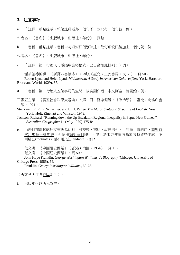#### **3.** 注意事項

a. 「註釋」重點提示:整個註釋看為一個句子,故只有一個句號。例:

作者名,《書名》(出版城市:出版社,年份),頁數。

b. 「書目」重點提示:書目中每項資訊個別陳述,故每項資訊後加上一個句號。例:

作者名。《書名》。出版城市:出版社,年份。

c. 「註釋」第一行縮入(電腦中註釋格式,已自動如此排列!)例:

謝冰瑩等編譯,《新譯四書讀本》,四版(臺北:三民書局,民 59),頁 50。

Robert Lynd and Helen Lynd, *Middletown: A Study in American Culture* (New York: Harcourt, Brace and World, 1929), 67.

d. 「書目」第二行縮入五個字母的空間,以突顯作者。中文則空一格開始。例:

王雲五主編。《雲五社會科學大辭典》。第三冊,羅志淵編,《政治學》。臺北:商務印書 館,1971。

Stockwell, R. P., P. Schachter, and B. H. Partee. *The Major Syntactic Structure of English.* New York: Holt, Rinehart and Winston, 1973.

- Jackson, Richard. "Running down the Up-Escalator: Regional Inequality in Papua New Guinea." *Australian Geographer* 14 (May 1979):175-84.
- e. 由於目前電腦處理文書極為便利,可複製、剪貼,故若遇相同「註釋」資料時,請與首 次出現時一樣加註,但使用簡明資料即可。並且為求方便讀者易於尋找資料出處,使 用腳註(footnote),而不用尾註(endnote)。例:

范文瀾,《中國通史簡編》(香港:南國,1954),頁11。 范文瀾,《中國通史簡編》,頁 50。

John Hope Franklin, *George Washington Williams: A Biography* (Chicago: University of Chicago Press, 1985), 54.

Franklin, *George Washington Williams*, 60-78.

(英文列明作者姓氏即可!)

f. 出版年份以西元為主。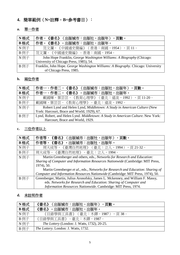# **4.** 簡單範例(**N=**註釋,**B=**參考書目):

# **a.** 單一作者

| N格式  | 《書名》(出版城市:出版社,出版年),頁數。<br>作者,                                                     |
|------|-----------------------------------------------------------------------------------|
| B格式  | 作者。<br>《書名》。出版城市:出版社,出版年。                                                         |
| N例子  | 范文瀾,《中國通史簡編》(香港:南國,1954),頁11。                                                     |
| B例子  | 范文瀾。《中國通史簡編》。香港:南國,1954。                                                          |
| N 例子 | John Hope Franklin, George Washington Williams: A Biography (Chicago:             |
|      | University of Chicago Press, 1985), 54.                                           |
| B 例子 | Franklin, John Hope. George Washington Williams: A Biography. Chicago: University |
|      | of Chicago Press, 1985.                                                           |

## **b.** 兩位作者

| N格式  | 作者一、作者二,《書名》(出版城市:出版社,出版年),頁數。                                                   |
|------|----------------------------------------------------------------------------------|
| B格式  | 作者一、作者二。《書名》。出版城市:出版社,出版年。                                                       |
| N例子  | 戴國輝、葉芸芸,《教育心理學》(臺北:遠流,1992),頁 11-20。                                             |
| B例子  | 戴國輝、葉芸芸。《教育心理學》。臺北:遠流,1992。                                                      |
| N 例子 | Robert Lynd and Helen Lynd, Middletown: A Study in American Culture (New         |
|      | York: Harcourt, Brace and World, 1929), 67.                                      |
| B 例子 | Lynd, Robert, and Helen Lynd. Middletown: A Study in American Culture. New York: |
|      | Harcourt, Brace and World, 1929.                                                 |

# **c.** 三位作者以上

| N格式  | 作者等,<br>《書名》(出版城市:出版社,出版年)<br>,頁數。                                               |
|------|----------------------------------------------------------------------------------|
| B格式  | 作者等。《書名》。出版城市:出版社,出版年。                                                           |
| N 例子 | 周大成等,《臺灣自然地理》(臺北:立人,1994),頁 21-32。                                               |
| B 例子 | 周大成等。《臺灣自然地理》。臺北:立人,1994。                                                        |
| N例子  | Martin Greenberger and others, eds., Networks for Research and Education:        |
|      | Sharing of Computer and Information Resources Nationwide (Cambridge: MIT Press,  |
|      | 1974), 50.                                                                       |
|      | Martin Greenberger et al., eds., Networks for Research and Education: Sharing of |
|      | Computer and Information Resources Nationwide (Cambridge: MIT Press, 1974), 50.  |
| B 例子 | Greenberger, Martin, Julius Aronofsky, James L. Mckenney, and William F. Massy,  |
|      | eds. Networks for Research and Education: Sharing of Computer and                |
|      | Information Resources Nationwide. Cambridge: MIT Press, 1974.                    |

## **d.** 未註明作者

| N格式  | 《書名》(出版城市:出版社,出版年),頁數。                              |
|------|-----------------------------------------------------|
| B格式  | 《書名》。出版城市:出版社,出版年。                                  |
| N 例子 | 《目錄學與工具書》(臺北:木鐸,1987),頁38。                          |
| B 例子 | 《目錄學與工具書》。臺北:木鐸,1987。                               |
| N 例子 | <i>The Lottery</i> (London: J. Watts, 1732), 20-25. |
| B 例子 | <i>The Lottery.</i> London: J. Watts, 1732.         |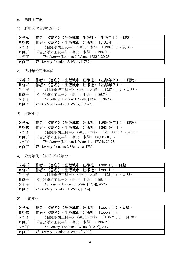## **e.** 未註明年份

1) 若從其他資源找到年份

| N格式  | 作者,《書名》(出版城市:出版社,〔出版年〕),頁數。                           |
|------|-------------------------------------------------------|
| B格式  | 作者。《書名》。出版城市:出版社,〔出版年〕。                               |
| N 例子 | 《目錄學與工具書》(臺北:木鐸,〔1987〕),頁 38。                         |
| B 例子 | 《目錄學與工具書》。臺北:木鐸,〔1987〕。                               |
| N 例子 | <i>The Lottery</i> (London: J. Watts, [1732]), 20-25. |
| B 例子 | <i>The Lottery.</i> London: J. Watts, [1732].         |

2) 估計年份可能年份

| N格式  | 作者,《書名》(出版城市:出版社,〔出版年?〕),頁數。                           |
|------|--------------------------------------------------------|
| B格式  | 作者。《書名》。出版城市:出版社,〔出版年?〕。                               |
| N例子  | 《目錄學與工具書》(臺北:木鐸,〔1987?〕),頁 38。                         |
| B 例子 | 《目錄學與工具書》。臺北:木鐸,〔1987?〕。                               |
| N 例子 | <i>The Lottery</i> (London: J. Watts, [1732?]), 20-25. |
| B 例子 | The Lottery. London: J. Watts, [1732?].                |

3) 大約年份

| N格式  | 作者,《書名》(出版城市:出版社,〔約出版年〕),頁數。                              |
|------|-----------------------------------------------------------|
| B格式  | 作者。《書名》。出版城市:出版社,〔約出版年〕。                                  |
| N 例子 | 《目錄學與工具書》(臺北:木鐸,〔約 1980〕),頁 38。                           |
| B 例子 | 《目錄學與工具書》。臺北:木鐸,〔約 1980〕。                                 |
| N 例子 | <i>The Lottery</i> (London: J. Watts, [ca. 1730]), 20-25. |
| B 例子 | <i>The Lottery.</i> London: J. Watts, [ca. 1730].         |

4) 確定年代,但不知準確年份。

| N格式  | 作者,《書名》(出版城市:出版社,〔xxx- 〕),頁數。                         |
|------|-------------------------------------------------------|
| B格式  | 作者。《書名》。出版城市:出版社,〔xxx- 〕。                             |
| N例子  | 《目錄學與工具書》(臺北:木鐸,〔198-〕),頁 38。                         |
| B 例子 | 《目錄學與工具書》。臺北:木鐸,〔198-〕。                               |
| N 例子 | <i>The Lottery</i> (London: J. Watts, [173-]), 20-25. |
| B 例子 | The Lottery. London: J. Watts, [173-].                |

5) 可能年代

| N格式  | 作者,《書名》(出版城市:出版社,〔xxx-?〕),頁數。                          |
|------|--------------------------------------------------------|
| B格式  | 作者。《書名》。出版城市:出版社,〔xxx-?〕。                              |
| N 例子 | 《目錄學與工具書》(臺北:木鐸,〔198-?〕),頁38。                          |
| B 例子 | 《目錄學與工具書》。臺北:木鐸,〔198-?〕。                               |
| N例子  | <i>The Lottery</i> (London: J. Watts, [173-?]), 20-25. |
| B 例子 | <i>The Lottery.</i> London: J. Watts, [173-?].         |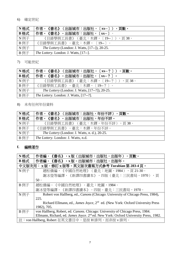## 6) 確定世紀

| N格式  | 作者,《書名》(出版城市:出版社,〔xx--〕),頁數。                          |
|------|-------------------------------------------------------|
| B格式  | 作者。《書名》。出版城市:出版社,〔xx-- 〕。                             |
| N 例子 | 《目錄學與工具書》(臺北:木鐸,〔19--〕),頁 38。                         |
| B例子  | 《目錄學與工具書》。臺北:木鐸,〔19-- 〕。                              |
| N 例子 | <i>The Lottery</i> (London: J. Watts, [17--]), 20-25. |
| B 例子 | <i>The Lottery.</i> London: J. Watts, [17--].         |

## 7) 可能世紀

| N 格式 | 作者,《書名》(出版城市:出版社,〔xx--?〕),頁數。                          |
|------|--------------------------------------------------------|
| B格式  | 作者。《書名》。出版城市:出版社,〔xx--?〕。                              |
| N 例子 | 《目錄學與工具書》(臺北:木鐸,〔19--?〕),頁 38。                         |
| B 例子 | 《目錄學與工具書》。臺北:木鐸,〔19--?〕。                               |
| N例子  | <i>The Lottery</i> (London: J. Watts, [17--?]), 20-25. |
| B例子  | <i>The Lottery.</i> London: J. Watts, [17--?].         |

### 8) 未有任何年份資料

| ∣N格式 | 作者,《書名》(出版城市:出版社,年份不詳),頁數。                           |
|------|------------------------------------------------------|
| B格式  | 作者。《書名》。出版城市:出版社,年份不詳。                               |
| N例子  | 《目錄學與工具書》(臺北:木鐸,年份不詳),頁 38。                          |
| B 例子 | 《目錄學與工具書》。臺北:木鐸,年份不詳。                                |
| N例子  | <i>The Lottery</i> (London: J. Watts, n. d.), 20-25. |
| B例子  | <i>The Lottery.</i> London: J. Watts, n.d.           |

#### **f.** 編輯著作

| N格式  | 作者編,<br>《書名》,x 版(出版城市:出版社,出版年),頁數。                                                                |  |
|------|---------------------------------------------------------------------------------------------------|--|
| B格式  | 作者編。《書名》。x 版。出版城市:出版社,出版年。                                                                        |  |
|      | 中文版次用: x 版,修訂 x 版等。英文版次書寫方式參考 Turabian 第 283-4 頁。                                                 |  |
| N 例子 | 趙松僑編,《中國自然地理》(臺北:地圖,1984),頁21-30。                                                                 |  |
|      | 謝冰瑩等編譯,《新譯四書讀本》,四版(臺北:三民書局,1970),頁                                                                |  |
|      | $50 \circ$                                                                                        |  |
| B 例子 | 趙松僑編。《中國自然地理》。臺北:地圖,1984。                                                                         |  |
|      | 謝冰瑩等編譯。《新譯四書讀本》。四版。臺北:三民書局,1970。                                                                  |  |
| N例子  | Robert von Hallberg, ed., <i>Canons</i> (Chicago: University of Chicago Press, 1984),             |  |
|      | 225.                                                                                              |  |
|      | Richard Ellmann, ed., <i>James Joyce</i> , 2 <sup>nd</sup> ed. (New York: Oxford University Press |  |
|      | 1982), 705.                                                                                       |  |
| B 例子 | von Hallberg, Robert, ed. Canons. Chicago: University of Chicago Press, 1984.                     |  |
|      | Ellmann, Richard, ed. James Joyce. 2 <sup>nd</sup> ed. New York: Oxford University Press, 1982.   |  |
|      | 註:von Hallberg, Robert 在英文書目中,是按 H 排列,而非按 v 排列。                                                   |  |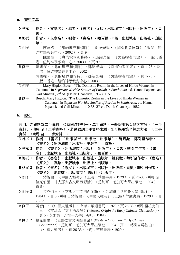# **g.** 書中文章

| N格式  | (文章名 ),編者,《書名》,x 版(出版城市:出版社,出版年)<br>,頁<br>作者,                                         |
|------|---------------------------------------------------------------------------------------|
|      | 數。                                                                                    |
| B格式  | 〈文章名〉。編者,《書名》,總頁數。x 版。出版城市:出版社,出版<br>作者。                                              |
|      | 年。                                                                                    |
| N 例子 | 陳國權,〈息的境界和修持〉,鄧紹光編,《與造物者同遊》(香港:紐                                                      |
|      | 約神學教育中心,2002),頁9。                                                                     |
|      | 陳國權,〈息的境界和修持〉,鄧紹光編,《與造物者同遊》,二版(香                                                      |
|      | 港:紐約神學教育中心,2003),頁9。                                                                  |
| B 例子 | 陳國權。〈息的境界和修持〉。鄧紹光編,《與造物者同遊》,頁 1-26。香                                                  |
|      | 港:紐約神學教育中心,2002。                                                                      |
|      | 陳國權。〈息的境界和修持〉。鄧紹光編,《與造物者同遊》,頁 1-26。二                                                  |
|      | 版。香港:紐約神學教育中心,2003。                                                                   |
| N 例子 | Mary Higdon Beech, "The Domestic Realm in the Lives of Hindu Women in                 |
|      | Calcutta," in Separate Worlds: Studies of Purdah in South Asia, ed. Hanna Papanek and |
|      | Gail Minault, 2 <sup>nd</sup> ed. (Delhi: Chanakya, 1982), 115.                       |
| B 例子 | Beech, Mary Higdon. "The Domestic Realm in the Lives of Hindu Women in                |
|      | Calcutta." In Separate Worlds: Studies of Purdah in South Asia, ed. Hanna             |
|      | Papanek and Gail Minault, 110-38. 2 <sup>nd</sup> ed. Delhi: Chanakya, 1982.          |

# **h.** 轉引

|                            | 若引用之資料為二手資料,必須同時註明一、二手資料,一般採用第 1 例之方法,〔一手                         |
|----------------------------|-------------------------------------------------------------------|
| 資料〕                        | ,轉引至〔二手資料〕。若需强調二手資料來源,則可採用第2例之方法,〔二手                              |
| 資料〕                        | ,轉引自〔一手資料〕。                                                       |
| N 格式 1                     | 作者,《書名》(出版城市:出版社,出版年),總頁數,轉引至作者,                                  |
|                            | 《書名》(出版城市:出版社,出版年),頁數。                                            |
| N 格式 2                     | 作者,《書名》。出版城市:出版社,出版年),頁數,轉引自作者,《書                                 |
|                            | 名》(出版城市:出版社,出版年),總頁數。                                             |
| B 格式 1                     | 作者。《書名》。出版城市:出版社,出版年,總頁數。轉引至作者,《書名》                               |
|                            | (原文),頁數。出版城市:出版社,出版年。                                             |
| B 格式 2                     | 作者。《書名》(原文)。出版城市:出版社,出版年,頁數。轉引自作者,                                |
|                            | 《書名》,總頁數。出版城市:出版社,出版年。                                            |
| N 例子 1                     | 蔣智由,《中國人種考》(上海:華通書局,1929),頁 26-33,轉引至                             |
|                            | 拉克伯里,《支那太古文明西源論》(芝加哥:芝加哥大學出版社,1984),                              |
|                            | 頁5。                                                               |
| $N$ 例子 2                   | 拉克伯里,《支那太古文明西源論》(芝加哥:芝加哥大學出版社,                                    |
|                            | 1984),頁5,轉引自蔣智由,《中國人種考》(上海:華通書局,1929),頁                           |
|                            | $26 - 33$                                                         |
| B 例子 1                     | 蔣智由。《中國人種考》。上海:華通書局,1929,頁 26-33。轉引至拉克伯                           |
|                            | 《支那太古文明西源論》(Western Origin the Early Chinese Civilization),<br>里, |
|                            | 頁 5。芝加哥:芝加哥大學出版社,1984。                                            |
| $B \cancel{\emptyset}$ 子 2 | 拉克伯里。《支那太古文明西源論》(Western Origin the Early Chinese                 |
|                            | Civilization)。芝加哥:芝加哥大學出版社,1984,頁5。轉引自蔣智由,                        |
|                            | 《中國人種考》,頁 26-33。上海:華通書局,1929。                                     |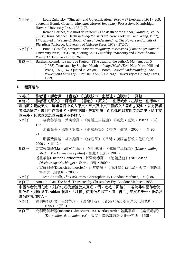| $N$ 例子 1 | Louis Zukofsky, "Sincerity and Objectification," Poetry 37 (February 1931): 269,         |
|----------|------------------------------------------------------------------------------------------|
|          | quoted in Bonnie Costello, Marianne Moore: Imaginary Possessions (Cambridge:             |
|          | Harvard University Press, 1981), 78.                                                     |
|          | Roland Barthes, "La mort de l'auteur" (The death of the author), Manteia, vol. 5         |
|          | (1968); trans. Stephen Heath in <i>Image/Music/Text</i> (New York: Hill and Wang, 1977), |
|          | 147; quoted in Wayne C. Booth, Critical Understanding: The Powers and Limits of          |
|          | Pluralism (Chicago: University of Chicago Press, 1979), 372-73.                          |
| N 例子 2   | Bonnie Costello, Marianne Moore: Imaginary Possessions (Cambridge: Harvard               |
|          | University Press, 1981), 78, quoting Louis Zukofsky, "Sincerity and Objectification,"    |
|          | Poetry 37 (February 1931): 269.                                                          |
| B 例子 1   | Barthes, Roland. "La mort de l'auteur" (The death of the author). Manteia, vol. 5        |
|          | (1968). Translated by Stephen Heath in <i>Image/Music/Text</i> . New York: Hill and      |
|          | Wang, 1977, 147. Quoted in Wayne C. Booth, Critical Understanding: The                   |
|          | Powers and Limits of Pluralism, 372-73. Chicago: University of Chicago Press,            |
|          | 1979.                                                                                    |

# **i.** 翻譯著作

| N格式      | 作者著,譯者譯,《書名》(出版城市:出版社,出版年),頁數。                                                 |
|----------|--------------------------------------------------------------------------------|
| B 格式     | 作者著(原文)。譯者譯。《書名》(原文)。出版城市:出版社,出版年。                                             |
|          | 若由原文翻成英文,建議書目中放入原文、英文及中文三種語文「書名」資料,以方便讀                                        |
|          | 者進深研究。書目中作者姓名,若有中譯,先放中譯,而括弧內以其原文名為主。除中文                                        |
|          | 譯者外,其他譯文之譯者姓名不必放入。                                                             |
| N 例子     | 麥克魯漢著,葉明德譯,《傳播工具新論》(臺北:巨流,1987),頁                                              |
|          | $122 \cdot$                                                                    |
|          | 潘霍華著,鄧肇明等譯,《追隨基督》(香港:道聲,2000),頁 20-                                            |
|          | $21 \circ$                                                                     |
|          | 朋霍費爾著,胡其鼎譯,《倫理學》(香港:漢語基督教文化研究所,                                                |
|          | $2000)$ , 頁12。                                                                 |
| B 例子     | 麥克魯漢著(Marshall McLuhan)。葉明德譯。《傳播工具新論》(Understanding                            |
|          | <i>Media: The Extensions of Man</i> )。臺北: 巨流, 1987。                            |
|          | 潘霍華著(Dietrich Bonhoeffer)。鄧肇明等譯。《追隨基督》(The Cost of                             |
|          | Discipleship=Nachfolge)。香港:道聲,2000。                                            |
|          | 朋霍費爾著(Dietrich Bonhoeffer)。胡其鼎譯。《倫理學》(Ethik)。香港:漢語基                            |
|          | 督教文化研究所,2000。                                                                  |
| N 例子     | Jean Anouilh, The Lark, trans. Christopher Fry (London: Methuen, 1955), 86.    |
| B 例子     | Anouilh, Jean. The Lark. Translated by Christopher Fry. London: Methuen, 1955. |
|          | 中國作者使用化名,則於化名後括號放入真名;例:毛毛(鄧榕)。若為非中國作者使                                         |
|          | 用化名,則根據 Turabian 原則,「註釋」使用化名即可,但「書目」英文名部份,化名及                                  |
| 真名兩者均放人。 |                                                                                |
| N 例子     | 克利馬科斯著,陸興華譯,《論懷牉者》(香港:漢語基督教文化研究所,                                              |
|          | 1995),頁31。                                                                     |
| B 例子     | 克利馬科斯著(Johannes Climacus=S. Aa. Kierkegaard)。陸興華譯。《論懷疑者》                       |
|          | (De omnibus dubitandum est)。香港:漢語基督教文化研究所, 1995。                               |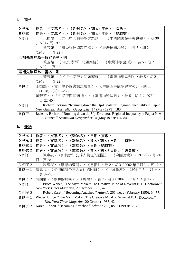# **j.** 期刊

| N格式  | 《期刋名》,期x(年份):頁數。<br>作者,<br>〈文章名〉<br>$\bullet$                                      |  |
|------|------------------------------------------------------------------------------------|--|
| B格式  | 作者。〈文章名〉。《期刋名》。期x(年份):總頁數。                                                         |  |
| N 例子 | 王振鵠,〈文化中心圖書館之規劃〉,《中國圖書館學會會報》,期30                                                   |  |
|      | $(1978) :$ 頁 19。                                                                   |  |
|      | 董芳苑,〈祖先崇拜問題商榷〉,《臺灣神學論刋》,卷 5,期 2                                                    |  |
|      | $(1978)$ :頁 22。                                                                    |  |
|      | 若祖先崇拜為一特定名詞,則                                                                      |  |
|      | 董芳苑,〈"祖先崇拜"問題商榷〉,《臺灣神學論刋》,卷 5,期 2                                                  |  |
|      | $(1978)$ :頁 22。                                                                    |  |
|      | 若祖先崇拜為一書名,則                                                                        |  |
|      | 董芳苑,〈《祖先崇拜》問題商榷〉,《臺灣神學論刋》,卷 5,期 2                                                  |  |
|      | $(1978)$ : 頁 22。                                                                   |  |
| B 例子 | 王振鵠。〈文化中心圖書館之規劃〉。《中國圖書館學會會報》。期 30                                                  |  |
|      | $(1978)$ : 頁 18-23。                                                                |  |
|      | 董芳苑。〈祖先崇拜問題商榷〉。《臺灣神學論刋》。卷 5,期 2(1978):                                             |  |
|      | 頁 22-40。                                                                           |  |
| N 例子 | Richard Jackson, "Running down the Up-Escalator: Regional Inequality in Papua      |  |
|      | New Guinea," Australian Geographer 14 (May 1979): 180.                             |  |
| B 例子 | Jackson, Richard. "Running down the Up-Escalator: Regional Inequality in Papua New |  |
|      | Guinea." Australian Geographer 14 (May 1979): 175-84.                              |  |

# **k.** 雜誌

| N 格式 1         | 作者,<br>《雜誌名》<br>,日期,頁數。<br>文章名                                                 |
|----------------|--------------------------------------------------------------------------------|
| $N$ 格式 $2$     | ,卷x,期x(日期):頁數。<br>作者,<br>《雜誌名》<br>文章名)                                         |
| B 格式 1         | 《雜誌名》<br>,日期,總頁數。<br>作者。<br>文章名<br>۰                                           |
| B 格式 2         | 。卷 x,期 x(日期)<br>作者。<br>文章名)<br>《雜誌名》<br>:總頁數。<br>$\bullet$                     |
| N 例子 1         | 〈如何解決公務人員住的困難〉,《中國論壇》<br>陳惠戎,<br>,1976年7月24                                    |
|                | $\boxminus$ , 頁38。                                                             |
| $N$ 例子 2       | ,卷2,期3(2002年7月):頁 12。<br>陳國權,<br>〈默想的藝術〉<br>《恩福》<br>$\cdot$                    |
| $B \noplus 1$  | ,1976年7月24日,<br>陳惠戎。〈如何解決公務人員住的困難〉。《中國論壇》                                      |
|                | 頁 37-40。                                                                       |
| B 例子 2         | 〈默想的藝術〉。《恩福》。卷2,期3(2002年7月):頁12。<br>陳國權。                                       |
| N 例子 1         | Bruce Weber, "The Myth Maker: The Creative Mind of Novelist E. L. Doctorow,"   |
|                | New York Times Magazine, 20 October 1985, 42.                                  |
| N 例子 2         | Robert Karen, "Becoming Attached," Atlantic 265, no. 2 (February 1990): 54-55. |
| B 例子 1         | Weber, Bruce. "The Myth Maker: The Creative Mind of Novelist E. L. Doctorow."  |
|                | New York Times Magazine, 20 October 1985, 42.                                  |
| $B \sqrt{m+2}$ | Karen, Robert. "Becoming Attached." Atlantic 265, no. 2 (1990): 35-70.         |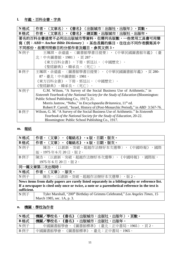# **l.** 年鑑、百科全書、字典

| N格式  | 〈文章名〉,《書名》(出版城市:出版社,出版年),頁數。<br>作者,                                                 |
|------|-------------------------------------------------------------------------------------|
| B 格式 | 〈文章名〉。《書名》,總頁數。出版城市:出版社,出版年。<br>作者。                                                 |
|      | 著名的百科全書通常不必列出出版城市等資料,但需列名版數,一些常用工具書可用簡                                              |
|      | 寫(例:ABD=Anchor Bible Dictionary)。某些長篇的條目,往往由不同作者撰寫其中                                |
|      | 不同部份,故需列明修目的分部作者及題目,参英文例 3。                                                         |
| N 例子 | 王珮琪、余遠盛,〈圖書館學書目提要〉,《中華民國圖書館年鑑》<br>(臺                                                |
|      | 北:中央圖書館,1981),頁 287。                                                                |
|      | 《東方百科全書》,下冊,郭廷以,〈中國歷史〉。                                                             |
|      | 《聖經辭典》,韓承良,〈死亡〉。                                                                    |
| B 例子 | 王珮琪、余遠盛。〈圖書館學書目提要〉。《中華民國圖書館年鑑》,頁 280-                                               |
|      | 87。臺北:中央圖書館,1981。                                                                   |
|      | 《東方百科全書》。下冊。郭廷以,〈中國歷史〉。                                                             |
|      | 《聖經辭典》。韓承良,〈死亡〉。                                                                    |
| N 例子 | G.M. Wilson, "A Survey of the Social Business Use of Arithmetic," in                |
|      | Sixteenth Yearbook of the National Society for the Study of Education (Bloomington: |
|      | Public School Publishing Co., 1917), 21.                                            |
|      | Morris Jastrow, "Nebo," in <i>Encyclopaedia Britannica</i> , 11 <sup>th</sup> ed.   |
|      | Robert P. Carroll, "Israel, History of (Post-Monarchic Period)," in ABD 3:567-76.   |
| B 例子 | Wilson, G. M. "A Survey of the Social Business Use of Arithmetic." In Sixteenth     |
|      | Yearbook of the National Society for the Study of Education, 20-22.                 |
|      | Bloomington: Public School Publishing Co., 1917.                                    |

## **m.** 報紙

| N格式                                                                                            | 〈文章〉,《報紙名》,x 版,日期,版次。<br>作者,                                                                   |  |
|------------------------------------------------------------------------------------------------|------------------------------------------------------------------------------------------------|--|
| B格式                                                                                            | 〈文章〉。《報紙名》,x 版,日期,版次。<br>作者。                                                                   |  |
| N例子                                                                                            | 陳浩,〈以創新、突破、超越作法辦好本次選舉〉,《中國時報》<br>,國際                                                           |  |
|                                                                                                | 版,1975年6月20日,版2。                                                                               |  |
| B 例子                                                                                           | 陳浩。〈以創新、突破、超越作法辦好本次選舉〉。《中國時報》,國際版,                                                             |  |
|                                                                                                | 1975年6月20日,版2。                                                                                 |  |
|                                                                                                | 同一篇文章第二次出現時:                                                                                   |  |
| N格式                                                                                            | 作者,〈文章〉,版次。                                                                                    |  |
| N 例子                                                                                           | 陳浩,〈以創新、突破、超越作法辦好本次選舉〉,版 2。                                                                    |  |
|                                                                                                | News items from daily papers are rarely listed separately in a bibliography or reference list. |  |
| If a newspaper is cited only once or twice, a note or a parenthetical reference in the text is |                                                                                                |  |
| sufficient.                                                                                    |                                                                                                |  |
| N例子                                                                                            | Tyler Marshall, "200 <sup>th</sup> Birthday of Grimms Celebrated," Los Angeles Times, 15       |  |
|                                                                                                | March 1985, sec. 1A, p. 3.                                                                     |  |

# **n.** 機關、學校為作者

| N格式  | 機關<br>/學校名,<br>頁數<br>(出版城市:出版社,出版年)<br>《書名》   |
|------|-----------------------------------------------|
| B格式  | 機關<br>/壆校名。<br>。出版城市:出版社,出版年。<br>《書名》         |
| N 例子 | 中國圖書館學會<br>《圖書館標準》<br>(臺北:正中書局,1965)<br>、,頁2。 |
| B 例子 | 《圖書館標準》<br>中國圖書館學會。<br>。臺北:正中書局,1965。         |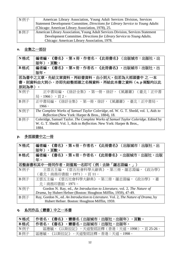| N 例子 | American Library Association, Young Adult Services Division, Services           |
|------|---------------------------------------------------------------------------------|
|      | Statement Development Committee, Directions for Library Service to Young Adults |
|      | (Chicago: American Library Association, 1978), 25.                              |
| B例子  | American Library Association, Young Adult Services Division, Services Statement |
|      | Development Committee. Directions for Library Service to Young Adults.          |
|      | Chicago: American Library Association, 1978.                                    |

## **o.** 全集之一部份

| N格式   | 《書名》,第x冊,作者名,《此冊書名》(出版城市:出版社,出<br>編者編,                                             |
|-------|------------------------------------------------------------------------------------|
|       | ,頁數。<br>版年)                                                                        |
| B格式   | 《書名》。第x冊,作者名,《此冊書名》。出版城市:出版社,出<br>編者編。                                             |
|       | 版年。                                                                                |
|       | 若為書中之文章,先給文章資料,再給書資料,由小到大。但若為大部頭書中 之 一本                                            |
|       | 書,則資料由大到小,亦即先給整部頭之名稱資料,再給此本書之資料 ( o, p 兩點均以此                                       |
| 原則為準) | $\bullet$                                                                          |
| N 例子  | 正中書局編,《徐訏全集》,第一冊,徐訏,《風蕭蕭》<br>(臺北:正中書                                               |
|       | 局,1966),頁2。                                                                        |
| B 例子  | 正中書局編。《徐訏全集》。第一冊,徐訏,《風蕭蕭》。臺北:正中書局,                                                 |
|       | 1966                                                                               |
| N 例子  | The Complete Works of Samuel Taylor Coleridge, ed. W. G. T. Shedd, vol. 1, Aids to |
|       | Reflection (New York: Harper & Bros., 1884), 18.                                   |
| B 例子  | Coleridge, Samuel Taylor. The Complete Works of Samuel Taylor Coleridge. Edited by |
|       | W. G. T. Shedd. Vol. 1, Aids to Reflection. New York: Harper & Bros.,              |
|       | 1884.                                                                              |

# **p.** 多部頭書中之一冊

| N格式  | 《書名》,第x冊,作者名,《此冊書名》(出版城市:出版社,出<br>編者編,                                             |
|------|------------------------------------------------------------------------------------|
|      | 版年)<br>,頁數。                                                                        |
| B格式  | 編者編。《書名》。第x冊,作者名,《此冊書名》。出版城市:出版社,出版                                                |
|      | 年。                                                                                 |
|      | 若整套書和其中一冊同作者,則僅寫一名即可(例:去除「羅志淵編,」)                                                  |
| N 例子 | 王雲五主編,《雲五社會科學大辭典》,第三冊,羅志淵編,<br>《政治學》                                               |
|      | (臺北:商務印書館,1971),頁 11。                                                              |
| B 例子 | 王雲五主編。《雲五社會科學大辭典》。第三冊,羅志淵編,《政治學》。臺                                                 |
|      | 北:商務印書館,1971。                                                                      |
| N 例子 | Gordon N. Ray, ed., An Introduction to Literature, vol. 2, The Nature of           |
|      | Drama, by Hubert Hefner (Boston: Houghton Mifflin, 1959), 47-49.                   |
| B 例子 | Ray, Gordon N., ed. An Introduction to Literature. Vol. 2, The Nature of Drama, by |
|      | Hubert Hefner. Boston: Houghton Mifflin, 1959.                                     |

# **q.** 系列作品(叢書)中之一本書

| N格式  | 《書名》<br>,叢書名(出版城市:出版社,出版年)<br>,百數。<br>作者名       |
|------|-------------------------------------------------|
| B格式  | 《書名》。叢書名。出版城市:出版社,出版年。<br>作者名。                  |
| N 例子 | ,《以斯拉記》,天道聖經註釋(香港:天道,1998)<br>區應毓,<br>,頁 25-26。 |
| B 例子 | 。《以斯拉記》。天道聖經註釋。香港:天道,1998。<br>區應毓               |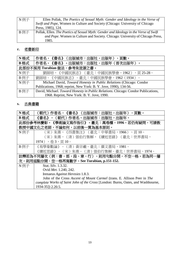| N 例子 | Ellen Pollak, The Poetics of Sexual Myth: Gender and Ideology in the Verse of         |
|------|---------------------------------------------------------------------------------------|
|      | Swift and Pope, Women in Culture and Society (Chicago: University of Chicago          |
|      | Press, 1985), 124.                                                                    |
| B 例子 | Pollak, Ellen. The Poetics of Sexual Myth: Gender and Ideology in the Verse of Swift  |
|      | <i>and Pope</i> . Women in Culture and Society. Chicago: University of Chicago Press, |
|      | 1985.                                                                                 |

## **r.** 老書新印

| N格式  | 作者名,《書名》(出版城市:出版社,出版年),頁數。                                                        |
|------|-----------------------------------------------------------------------------------|
| B格式  | 作者名。《書名》。出版城市:出版社,出版年(首次出版年)。                                                     |
|      | 此部份不採用 Turabian 做法, 参考朱浤源之書。                                                      |
| N 例子 | 劉師培,《中國民族志》(臺北:中國民族學會,1962),頁25-28。                                               |
| B 例子 | 劉師培。《中國民族志》。臺北:中國民族學會,1962 (1934) 。                                               |
| N例子  | Michael David, Toward Honesty in Public Relations (Chicago: Condor                |
|      | Publications, 1968; reprint, New York: B. Y. Jove, 1990), 134-56.                 |
| B 例子 | David, Michael. Toward Honesty in Public Relations. Chicago: Condor Publications, |
|      | 1968. Reprint, New York: B. Y. Jove, 1990.                                        |

## **s.** 古典書籍

| N格式  | (朝代)作者名,《書名》(出版城市:出版社,出版年),頁數。                                                   |
|------|----------------------------------------------------------------------------------|
| B格式  | 。(朝代)作者名。出版城市:出版社,出版年。<br>《書名》                                                   |
|      | 此部份參考林慶彰。《學術論文寫作指引》。臺北:萬卷樓,1996。若仍有疑問,可請教                                        |
|      | 教授中國文化之老師,不論如何,以前後一貫為基本原則。                                                       |
| N 例子 | (宋)朱熹,《四書集注》(臺北:中華書局,1966),頁 10。                                                 |
|      | (宋)朱熹,(清)張伯行集解,《續近思錄》(臺北:世界書局,                                                   |
|      | $1974)$ ,卷 3,頁 10。                                                               |
| B 例子 | 《易學象數論》。(清)黃宗羲。臺北:廣文書局,1981。                                                     |
|      | 《續近思錄》。(宋)朱熹。(清)張伯行集解。臺北:世界書局,1974。                                              |
|      | 註釋若為不同層次(例:書,部,段,章,行),則用句點分開,不空一格。若為同一層                                          |
|      | 次,則用逗點分開,空一格再寫數字。See Turabian, p.151-152.                                        |
| N例子  | Stat. Silv. 1.3.32.                                                              |
|      | Ovid <i>Met.</i> 1.240, 242.                                                     |
|      | Irenaeus Against Heresies 1.8.3.                                                 |
|      | John of the Cross Ascent of Mount Carmel (trans. E. Allison Peer in The          |
|      | complete Works of Saint John of the Cross [London: Burns, Oates, and Washhourne, |
|      | 1934-35]) 2.20.5.                                                                |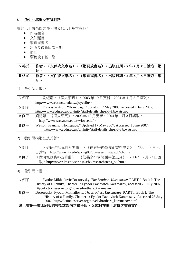#### **t.** 徵引互聯網及有關材料

從網上下載某份文件,須交代以下基本資料:

- 作者姓名
- 文件題目
- 網頁或書名
- 出版及最新版次日期
- 網址
- 瀏覽或下載日期

#### **N** 格式 作者,〈文件或文章名〉,《網頁或書名》,出版日期,**x** 年 **x** 月 **x** 日讀取,網 址。 **B** 格式 作者。〈文件或文章名〉。《網頁或書名》。出版日期。**x** 年 **x** 月 **x** 日讀取。網 址。

#### 1) 徵引個人網址

| N例子  | 劉紀蕙,《個人網頁》, 2003年10月更新, 2004年1月3日讀取,                                    |
|------|-------------------------------------------------------------------------|
|      | http://www.srcs.nctu.edu.tw/joyceliu/。                                  |
| N 例子 | Francis Watson, "Homepage," updated 17 May 2007, accessed 1 June 2007,  |
|      | http://www.abdn.ac.uk/divinity/staff/details.php?id=f.b.watson/.        |
| B例子  | 劉紀蕙。《個人網頁》。2003年10月更新。2004年1月3日讀取。                                      |
|      | http://www.srcs.nctu.edu.tw/joyceliu/。                                  |
| B 例子 | Watson, Francis. "Homepage." Updated 17 May 2007. Accessed 1 June 2007. |
|      | http://www.abdn.ac.uk/divinity/staff/details.php?id=f.b.watson/.        |

#### 2) 徵引機構網址及其著作

| N 例子 | $, 2006$ 年7月23<br>〈做研究找資料五步曲〉,《信義宗神學院圖書館主頁》              |
|------|----------------------------------------------------------|
|      | 日讀取,http://www.lts.edu/spring03/b5/researchsteps_b5.htm。 |
| B 例子 | 〈做研究找資料五步曲〉。《信義宗神學院圖書館主頁》。2006 年 7 月 23 日讀               |
|      | 取。http://www.lts.edu/spring03/b5/researchsteps_b5.htm。   |

#### 3) 徵引網上書

| N 例子 | Fyodor Mikhailovic Dostoevsky, The Brothers Karamazov, PART I, Book I: The          |  |
|------|-------------------------------------------------------------------------------------|--|
|      | History of a Family, Chapter 1: Fyodor Pavlovitch Karamazov, accessed 23 July 2007, |  |
|      | http://fiction.eserver.org/novels/brothers_karamazov.html.                          |  |
| B 例子 | Dostoevsky, Fyodor Mikhailovic. The Brothers Karamazov, PART I, Book I: The         |  |
|      | History of a Family, Chapter 1: Fyodor Pavlovitch Karamazov. Accessed 23 July       |  |
|      | 2007. http://fiction.eserver.org/novels/brothers_karamazov.html.                    |  |
|      | 網上書是一書印刷版的整部或部份之電子版,又或只在網上流傳之書籍文件                                                   |  |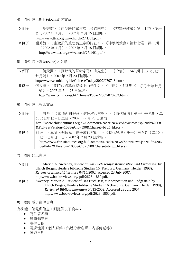#### 4) 徵引網上期刊(ejournal)之文章

| N 例子 | 《神學與教會》第廿七卷,第一<br>謝秀雄,〈由聖殿的重建談上帝的同在〉,              |
|------|----------------------------------------------------|
|      | 期(2002年1月),2007年7月15日讀取,                           |
|      | http://www.ttcs.org.tw/~church/27.1/01.pdf 。       |
| B例子  | 謝秀雄。〈由聖殿的重建談上帝的同在〉。《神學與教會》第廿七卷。第一期                 |
|      | (2002年1月)。2007年7月15日讀取。                            |
|      | http://www.ttcs.org.tw/~church/27.1/01.pdf $\circ$ |

## 5) 徵引網上雜誌(ezine)之文章

| N 例子 | 何天擇,〈劃時代的革命家孫中山先生〉,《中信》,543期《二〇〇七年                     |
|------|--------------------------------------------------------|
|      | 七月號》,2007年7月23日讀取,                                     |
|      | http://www.ccmhk.org.hk/ChineseToday/2007/0707_3.htm 。 |
| B 例子 | 「何天擇。〈劃時代的革命家孫中山先生〉。《中信》。543 期《二○○七年七月                 |
|      | 號》。2007年7月23日讀取。                                       |
|      | http://www.ccmhk.org.hk/ChineseToday/2007/0707_3.htm 。 |

#### 6) 徵引網上報紙文章

| N例子 | 社評:〈真情面對假意,信任取代抗衡〉,《時代論壇》第一〇三八期(二                                          |
|-----|----------------------------------------------------------------------------|
|     | ○○七年七月廿二日, 2007年7月23日讀取,                                                   |
|     | http://www.christiantimes.org.hk/Common/Reader/News/ShowNews.jsp?Nid=42068 |
|     | &Pid=2&Version=1038&Cid=590&Charset=bi g5_hkscs ·                          |
| B例子 | 社評:〈真情面對假意,信任取代抗衡〉。《時代論壇》第一〇三八期(二〇〇                                        |
|     | 七年七月廿二日。2007年7月23日讀取。                                                      |
|     | http://www.christiantimes.org.hk/Common/Reader/News/ShowNews.jsp?Nid=4206  |
|     | 8&Pid=2&Version=1038&Cid=590&Charset=bi g5_hkscs ·                         |

#### 7) 徵引網上書評

| N例子  | Marvin A. Sweeney, review of Das Buch Jesaja: Komposition und Endgestalt, by   |
|------|--------------------------------------------------------------------------------|
|      | Ulrich Berges, Herders biblische Studien 16 (Freiburg, Germany: Herder, 1998), |
|      | Review of Biblical Literature 04/15/2002, accessed 23 July 2007,               |
|      | http://www.bookreviews.org/ pdf/2628_1860.pdf.                                 |
| B 例子 | Sweeney, Marvin A. Review of Das Buch Jesaja: Komposition und Endgestalt, by   |
|      | Ulrich Berges, Herders biblische Studien 16 (Freiburg, Germany: Herder, 1998), |
|      | Review of Biblical Literature 04/15/2002. Accessed 23 July 2007.               |
|      | http://www.bookreviews.org/pdf/2628_1860.pdf.                                  |

#### 8) 徵引電子郵件信息

為引證一個電郵信息,須提供以下資料:

- 寄件者名稱
- 該電郵主旨
- 寄件日期
- 電郵性質(個人郵件,集體分發名單,內部傳送等)
- 讀取日期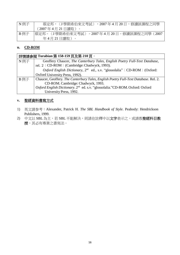| N 例子 | 蔡定邦,〈J 學期希伯來文考試〉,2007 年 4 月 20 日,修讀該課程之同學      |
|------|------------------------------------------------|
|      | (2007年4月21日讀取)。                                |
| B 例子 | 蔡定邦。〈J 學期希伯來文考試〉。2007 年 4 月 20 日。修讀該課程之同學(2007 |
|      | 年4月21日讀取)。                                     |

#### **u. CD-ROM**

| 詳情請參閱 Turabian 第 158-159 頁及第 210 頁。 |                                                                                          |  |
|-------------------------------------|------------------------------------------------------------------------------------------|--|
| N例子                                 | Geoffery Chaucer, The Canterbury Tales, English Poetry Full-Text Database,               |  |
|                                     | rel. 2 (CD-ROM) (Cambridge: Chadwyck, 1993).                                             |  |
|                                     | Oxford English Dictionary, 2 <sup>nd</sup> ed., s.v. "glossolalia" (CD-ROM) (Oxford:     |  |
|                                     | Oxford University Press, 1992).                                                          |  |
| B 例子                                | Chaucer, Geoffery. The Canterbury Tales, English Poetry Full-Text Database. Rel. 2.      |  |
|                                     | CD-ROM. Cambridge: Chadwyck, 1993.                                                       |  |
|                                     | Oxford English Dictionary. 2 <sup>nd</sup> ed. s.v. "glossolalia."CD-ROM. Oxford: Oxford |  |
|                                     | University Press, 1992.                                                                  |  |

#### **v.** 聖經資料書寫方式

- 1) 英文請参考:Alexander, Patrick H. *The SBL Handbook of Style*. Peabody: Hendrickson Publishers, 1999.
- 2) 中文以 SBL 為主,若 SBL 不能解決,則請在註釋中以文字表示之,或請教聖經科目教 授,其必有專業之書寫法。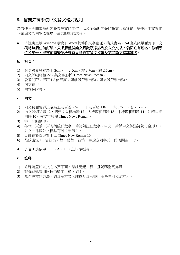#### **5.** 信義宗神學院中文論文格式說明

為方便日後圖書館釘裝畢業論文的工作,以及確保釘裝好的論文容易閱覽,請使用中文寫作 畢業論文的同學依從以下論文的格式說明。

#### a. 本說明是以 Window 環境下 Word 軟件作文字處理。橫式書寫, A4 直式紙單面列印。**交** 稿時無須任何釘裝,只須將整份論文頁數順序排列放入公文袋,袋面註有姓名、修讀學 位及年份。提交前請緊記檢查首頁是否有論文指導及第二論文指導簽名。

#### **b.** 封頁:

- 1) 封頁邊界設定為上 3cm,下 2.5cm,左 3.7cm,右 2.5cm。
- 2) 內文以細明體 22。英文字形採 Times News Roman。
- 3) 段落間距:行距 1.5 倍行高;與前段距離自動;與後段距離自動。
- 4) 內文置中。
- 5) 內容參附頁。

#### **c.** 內文

- 1) 內文頁面邊界設定為上及頁首 2.5cm, 下及頁尾 1.8cm, 左 3.7cm, 右 2.5cm。
- 2) 內文以細明體 12, 摘要文以標楷體 12, 大標題粗明體 18, 中標題粗明體 14, 註釋以細 明體 10。英文字形採 Times News Roman。
- 3) 字元間距標準。
- 4) 年代、頁數、頁碼與統計數字一律為阿拉伯數字。中文一律採中文標點符號(全形), 外文一律採外文標點符號(半形)。
- 5) 頁碼置於頁尾置中以 Times New Roman 10。
- 6) 段落設定 1.5 倍行高。每一段每一行第一字前空兩字元。段落間留一行。
- d. 子目:請依甲、一、A、1、a 之順序標明。

#### **e.** 註釋

- 1) 註釋請置於該文之本頁下面,每註另起一行,且號碼整頁連貫。
- 2) 註釋號碼請用阿拉伯數字上標,如 1。
- 3) 寫作註釋的方法,請參閱本文《註釋及參考書目簡易原則和範本》。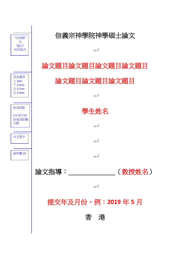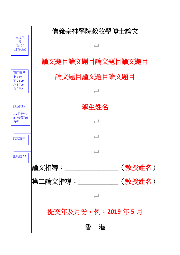